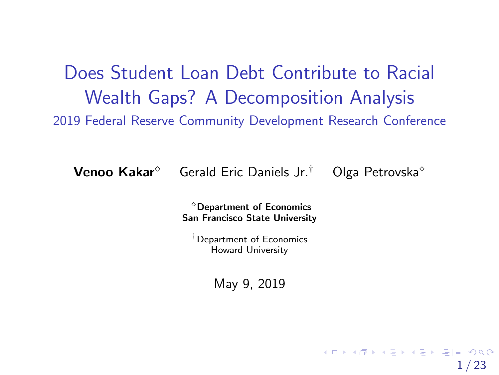<span id="page-0-0"></span>Does Student Loan Debt Contribute to Racial Wealth Gaps? A Decomposition Analysis 2019 Federal Reserve Community Development Research Conference

**Venoo Kakar**<sup> $\circ$ </sup> Gerald Eric Daniels Jr.<sup>†</sup> Olga Petrovska<sup> $\circ$ </sup>

1 / 23

KORK REPORT A STRAIGHT

 $^{\circ}$ Department of Economics San Francisco State University

†Department of Economics Howard University

May 9, 2019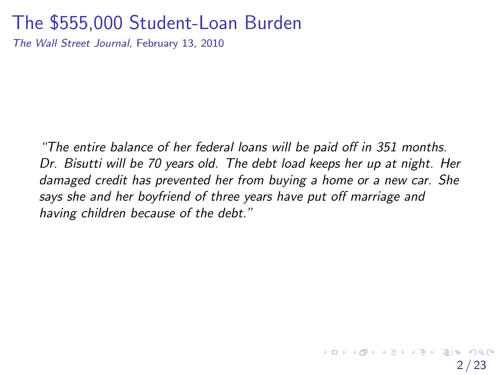### The \$555,000 Student-Loan Burden

The Wall Street Journal, February 13, 2010

"The entire balance of her federal loans will be paid off in 351 months. Dr. Bisutti will be 70 years old. The debt load keeps her up at night. Her damaged credit has prevented her from buying a home or a new car. She says she and her boyfriend of three years have put off marriage and having children because of the debt."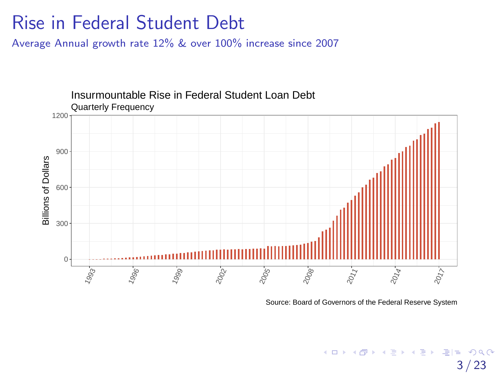### Rise in Federal Student Debt

Average Annual growth rate 12% & over 100% increase since 2007



Source: Board of Governors of the Federal Reserve System

K ロ ▶ K 何 ▶ K ヨ ▶ K ヨ ▶ [로]로 19 Q @ / 23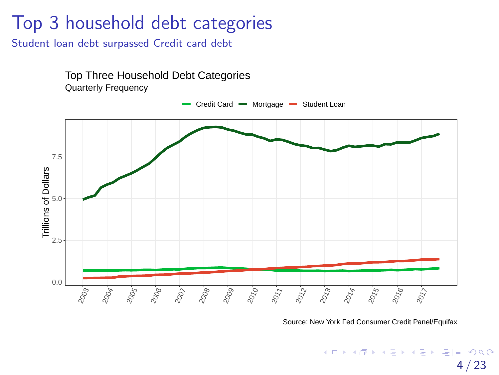# Top 3 household debt categories

Student loan debt surpassed Credit card debt



Source: New York Fed Consumer Credit Panel/Equifax

K ロ ▶ K 何 ▶ K ヨ ▶ K ヨ ▶ [로]로 19 Q @ 4 / 23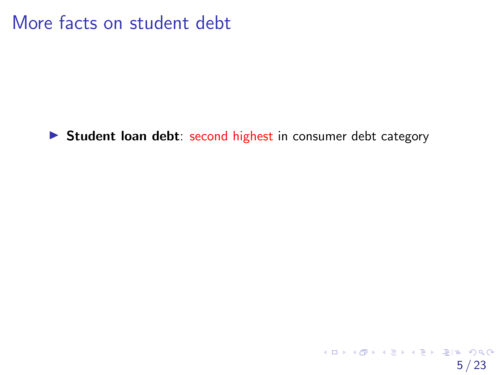More facts on student debt

Student loan debt: second highest in consumer debt category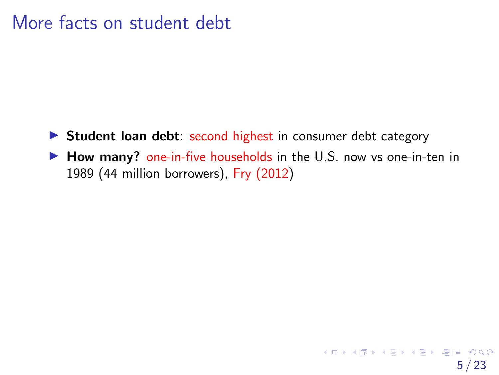### More facts on student debt

- Student loan debt: second highest in consumer debt category
- How many? one-in-five households in the U.S. now vs one-in-ten in 1989 (44 million borrowers), Fry (2012)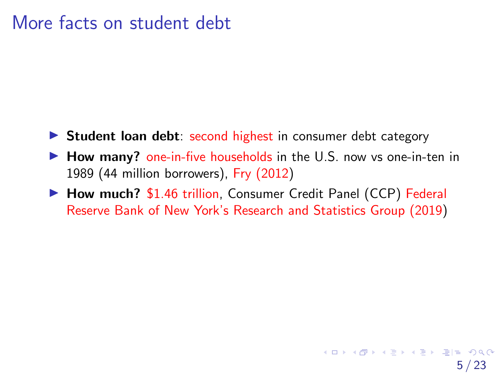### More facts on student debt

- Student loan debt: second highest in consumer debt category
- How many? one-in-five households in the U.S. now vs one-in-ten in 1989 (44 million borrowers), Fry [\(2012\)](#page-54-0)
- How much? \$1.46 trillion, Consumer Credit Panel (CCP) [Federal](#page-54-1) Reserve Bank of New York's Research and [Statistics](#page-54-1) Group (2019)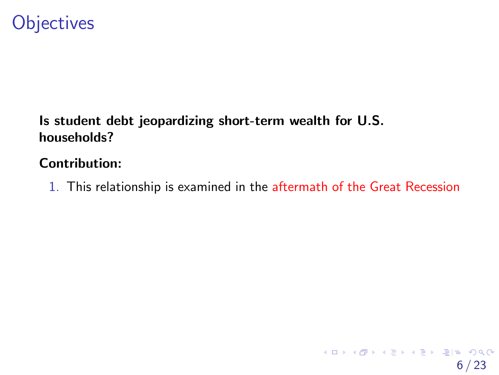# **Objectives**

### Is student debt jeopardizing short-term wealth for U.S. households?

#### Contribution:

1. This relationship is examined in the aftermath of the Great Recession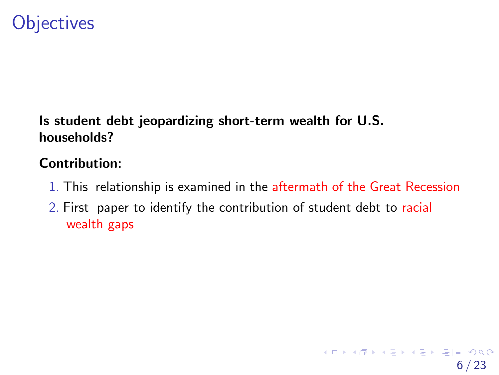# **Objectives**

### Is student debt jeopardizing short-term wealth for U.S. households?

#### Contribution:

- 1. This relationship is examined in the aftermath of the Great Recession
- 2. First paper to identify the contribution of student debt to racial wealth gaps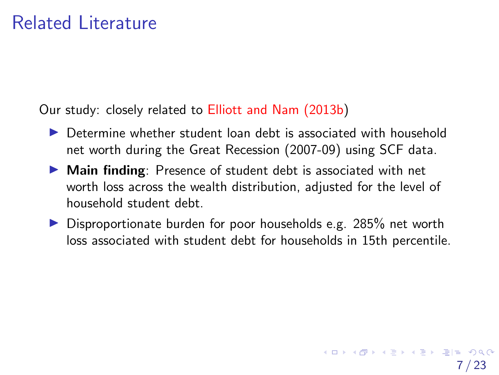## Related Literature

Our study: closely related to Elliott and Nam [\(2013b\)](#page-53-0)

- Determine whether student loan debt is associated with household net worth during the Great Recession (2007-09) using SCF data.
- Main finding: Presence of student debt is associated with net worth loss across the wealth distribution, adjusted for the level of household student debt.
- Disproportionate burden for poor households e.g. 285% net worth loss associated with student debt for households in 15th percentile.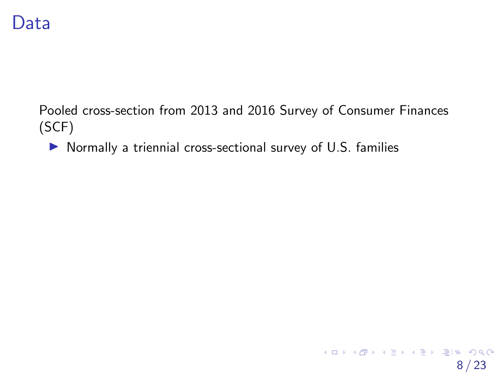Pooled cross-section from 2013 and 2016 Survey of Consumer Finances (SCF)

8 / 23

K ロ ▶ K 個 ▶ K 결 ▶ K 결 ▶ [결] ≥ 10 Q Q Q

• Normally a triennial cross-sectional survey of U.S. families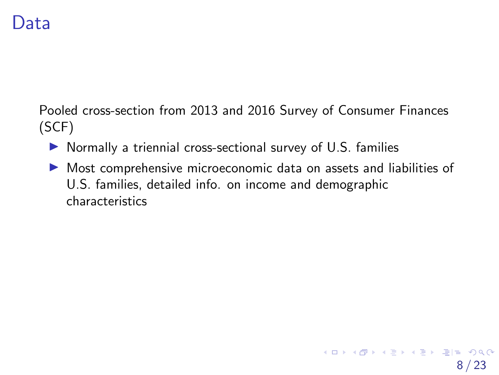Pooled cross-section from 2013 and 2016 Survey of Consumer Finances (SCF)

- Normally a triennial cross-sectional survey of U.S. families
- Most comprehensive microeconomic data on assets and liabilities of U.S. families, detailed info. on income and demographic characteristics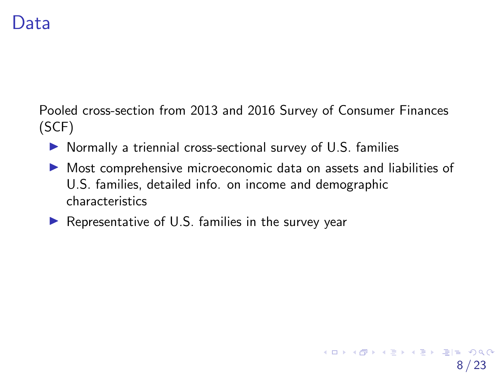Pooled cross-section from 2013 and 2016 Survey of Consumer Finances (SCF)

- Normally a triennial cross-sectional survey of U.S. families
- Most comprehensive microeconomic data on assets and liabilities of U.S. families, detailed info. on income and demographic characteristics

8 / 23

K ロ ▶ K 何 ▶ K ヨ ▶ K ヨ ▶ [로]로 10 Q @

• Representative of U.S. families in the survey year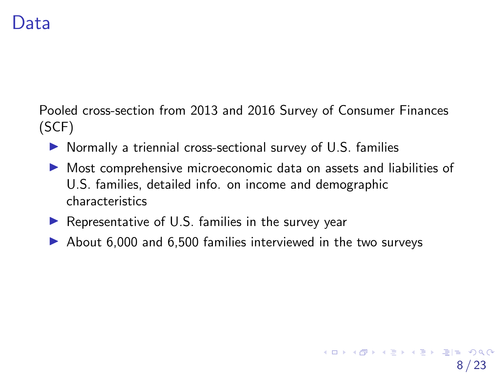Pooled cross-section from 2013 and 2016 Survey of Consumer Finances (SCF)

- Normally a triennial cross-sectional survey of U.S. families
- Most comprehensive microeconomic data on assets and liabilities of U.S. families, detailed info. on income and demographic characteristics
- Representative of U.S. families in the survey year
- About 6,000 and 6,500 families interviewed in the two surveys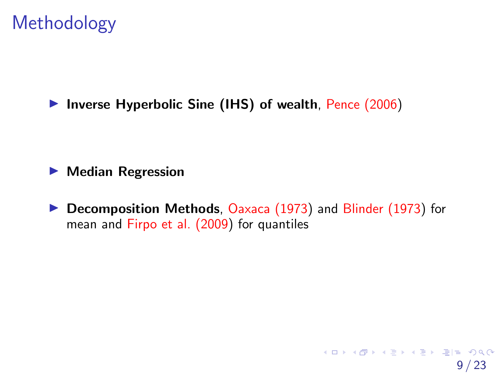Inverse Hyperbolic Sine (IHS) of wealth, Pence (2006)

**• Median Regression** 

**• Decomposition Methods**, Oaxaca (1973) and Blinder (1973) for mean and Firpo et al. (2009) for quantiles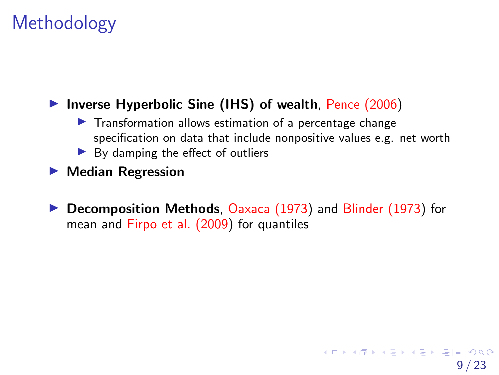### Inverse Hyperbolic Sine (IHS) of wealth, Pence (2006)

- Transformation allows estimation of a percentage change specification on data that include nonpositive values e.g. net worth
- ▶ By damping the effect of outliers
- **Median Regression**
- **Decomposition Methods**, Oaxaca (1973) and Blinder (1973) for mean and Firpo et al. (2009) for quantiles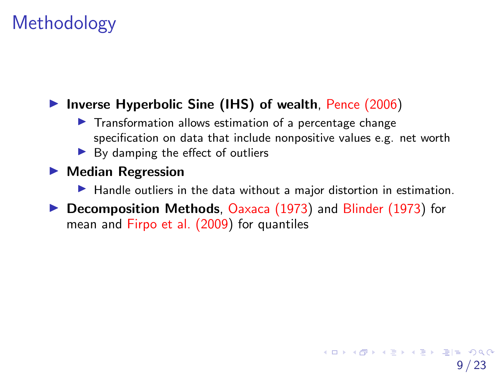### Inverse Hyperbolic Sine (IHS) of wealth, Pence (2006)

- Transformation allows estimation of a percentage change specification on data that include nonpositive values e.g. net worth
- ▶ By damping the effect of outliers

### **• Median Regression**

- Handle outliers in the data without a major distortion in estimation.
- **Decomposition Methods**, Oaxaca (1973) and Blinder (1973) for mean and Firpo et al. (2009) for quantiles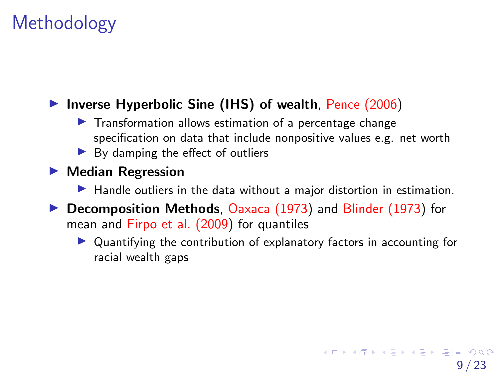### Inverse Hyperbolic Sine (IHS) of wealth, Pence (2006)

- Transformation allows estimation of a percentage change specification on data that include nonpositive values e.g. net worth
- ▶ By damping the effect of outliers

### **• Median Regression**

- Handle outliers in the data without a major distortion in estimation.
- **Decomposition Methods**, Oaxaca (1973) and Blinder (1973) for mean and Firpo et al. (2009) for quantiles
	- Quantifying the contribution of explanatory factors in accounting for racial wealth gaps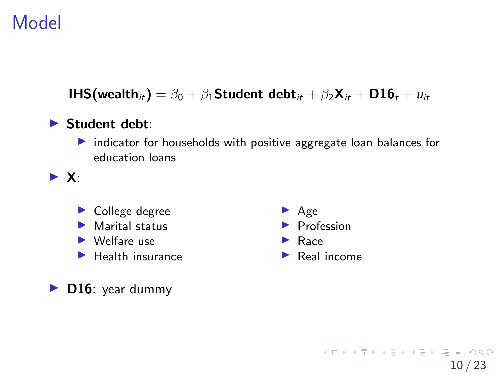# <span id="page-18-0"></span>Model

**IHS(wealth**<sub>it</sub>) =  $\beta_0 + \beta_1$ Student debt<sub>it</sub> +  $\beta_2$ **X**<sub>it</sub> + **D16**<sub>t</sub> +  $u_{it}$ 

### ▶ Student debt:

• indicator for households with positive aggregate loan balances for education loans

 $\blacktriangleright$  X:

- College degree
- Marital status
- ► Welfare use
- Health insurance

D16: year dummy

- � Age **Profession** ▶ Race
- � Real income

10 / 23

K ロ K K 레 K K 플 K K 클 K 트립트 YO Q @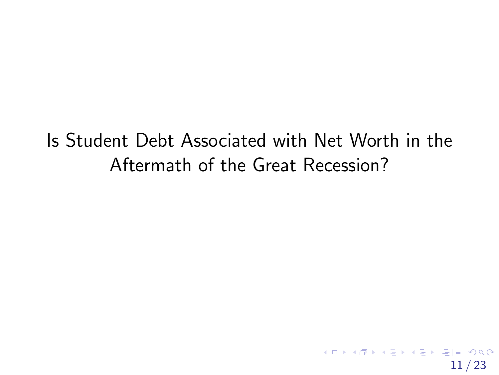<span id="page-19-0"></span>Is Student Debt Associated with Net Worth in the Aftermath of the Great Recession?

11 / 23

K ロ ▶ K 何 ▶ K ヨ ▶ K ヨ ▶ [로]로 10 Q @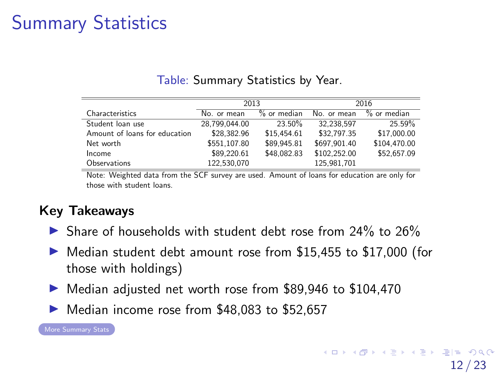# <span id="page-20-0"></span>Summary Statistics

|                               | 2013          |               | 2016         |               |  |
|-------------------------------|---------------|---------------|--------------|---------------|--|
| Characteristics               | No. or mean   | $%$ or median | No. or mean  | $%$ or median |  |
| Student loan use              | 28.799.044.00 | 23.50%        | 32,238,597   | 25.59%        |  |
| Amount of loans for education | \$28.382.96   | \$15.454.61   | \$32,797.35  | \$17,000.00   |  |
| Net worth                     | \$551.107.80  | \$89.945.81   | \$697.901.40 | \$104,470.00  |  |
| Income                        | \$89.220.61   | \$48,082.83   | \$102.252.00 | \$52,657.09   |  |
| Observations                  | 122.530.070   |               | 125.981.701  |               |  |

Table: Summary Statistics by Year.

Note: Weighted data from the SCF survey are used. Amount of loans for education are only for those with student loans.

### Key Takeaways

- > Share of households with student debt rose from 24% to 26%
- Median student debt amount rose from \$15,455 to \$17,000 (for those with holdings)
- Median adjusted net worth rose from \$89,946 to \$104,470
- ▶ Median income rose from \$48,083 to \$52,657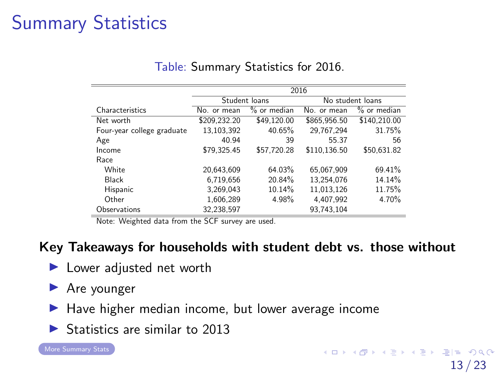# <span id="page-21-0"></span>Summary Statistics

|                            | $\overline{2016}$ |               |              |                  |  |  |
|----------------------------|-------------------|---------------|--------------|------------------|--|--|
|                            |                   | Student loans |              | No student loans |  |  |
| Characteristics            | No. or mean       | % or median   | No. or mean  | % or median      |  |  |
| Net worth                  | \$209,232.20      | \$49,120.00   | \$865.956.50 | \$140.210.00     |  |  |
| Four-year college graduate | 13,103,392        | 40.65%        | 29.767.294   | 31.75%           |  |  |
| Age                        | 40.94             | 39            | 55.37        | 56               |  |  |
| Income                     | \$79.325.45       | \$57,720.28   | \$110.136.50 | \$50.631.82      |  |  |
| Race                       |                   |               |              |                  |  |  |
| White                      | 20.643.609        | 64.03%        | 65.067.909   | 69.41%           |  |  |
| <b>Black</b>               | 6.719.656         | 20.84%        | 13.254.076   | 14.14%           |  |  |
| Hispanic                   | 3.269.043         | 10.14%        | 11.013.126   | 11.75%           |  |  |
| Other                      | 1.606.289         | 4.98%         | 4.407.992    | 4.70%            |  |  |
| Observations               | 32,238,597        |               | 93.743.104   |                  |  |  |

#### Table: Summary Statistics for 2016.

Note: Weighted data from the SCF survey are used.

#### Key Takeaways for households with student debt vs. those without

- Lower adjusted net worth
- ▶ Are younger
- ▶ Have higher median income, but lower average income
- Statistics are similar to 2013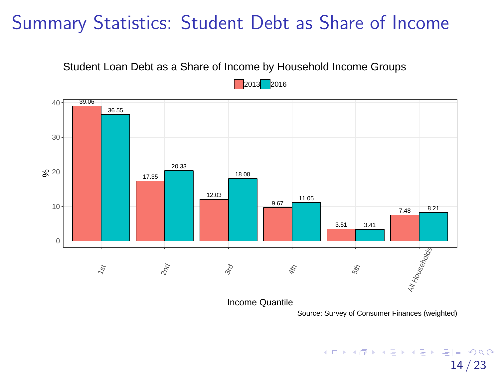# <span id="page-22-0"></span>Summary Statistics: Student Debt as Share of Income



36.55 39.06 20.33 17.35 18.08 12.03 11.05 9.67 3.51 3.41 8.21 7.48  $0 10 \mathcal{S}^2$  20  $30 40 5$  $\delta_{\rm qc}$  $3r_{Q}$ 4th 5th All Households

2013 2016

Income Quantile

Source: Survey of Consumer Finances (weighted)

K ロ ▶ K 何 ▶ K ヨ ▶ K ヨ ▶ [로]로 19 Q @

14 / 23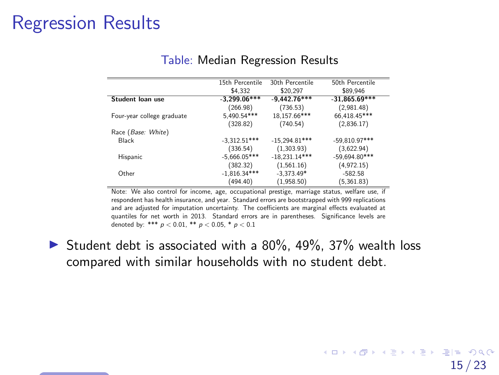<span id="page-23-1"></span><span id="page-23-0"></span>

|                            | 15th Percentile | 30th Percentile | 50th Percentile |
|----------------------------|-----------------|-----------------|-----------------|
|                            | \$4.332         | \$20.297        | \$89.946        |
| Student loan use           | $-3.299.06***$  | $-9.442.76***$  | $-31,865.69***$ |
|                            | (266.98)        | (736.53)        | (2,981.48)      |
| Four-year college graduate | 5,490.54***     | 18.157.66***    | 66,418.45***    |
|                            | (328.82)        | (740.54)        | (2,836.17)      |
| Race (Base: White)         |                 |                 |                 |
| Black                      | $-3,312.51***$  | $-15.294.81***$ | $-59,810.97***$ |
|                            | (336.54)        | (1,303.93)      | (3,622.94)      |
| Hispanic                   | $-5,666.05***$  | $-18,231.14***$ | $-59,694.80***$ |
|                            | (382.32)        | (1,561.16)      | (4,972.15)      |
| Other                      | $-1,816.34***$  | $-3,373.49*$    | $-582.58$       |
|                            | (494.40)        | (1,958.50)      | (5, 361.83)     |

#### Table: Median Regression Results

Note: We also control for income, age, occupational prestige, marriage status, welfare use, if respondent has health insurance, and year. Standard errors are bootstrapped with 999 replications and are adjusted for imputation uncertainty. The coefficients are marginal effects evaluated at quantiles for net worth in 2013. Standard errors are in parentheses. Significance levels are denoted by: \*\*\*  $p < 0.01$ , \*\*  $p < 0.05$ , \*  $p < 0.1$ 

• Student debt is associated with a 80%, 49%, 37% wealth loss compared with similar households with no student debt.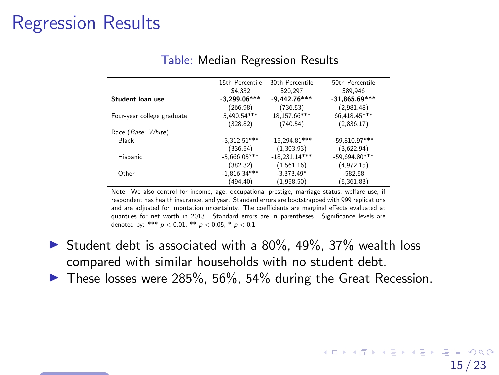|                            | 15th Percentile | 30th Percentile | 50th Percentile |
|----------------------------|-----------------|-----------------|-----------------|
|                            | \$4.332         | \$20.297        | \$89.946        |
| Student loan use           | $-3,299.06***$  | $-9.442.76***$  | $-31,865.69***$ |
|                            | (266.98)        | (736.53)        | (2,981.48)      |
| Four-year college graduate | 5,490.54***     | 18,157.66***    | 66,418.45***    |
|                            | (328.82)        | (740.54)        | (2,836.17)      |
| Race (Base: White)         |                 |                 |                 |
| Black                      | $-3.312.51***$  | $-15.294.81***$ | $-59,810.97***$ |
|                            | (336.54)        | (1,303.93)      | (3,622.94)      |
| Hispanic                   | $-5,666.05***$  | $-18,231.14***$ | $-59.694.80***$ |
|                            | (382.32)        | (1,561.16)      | (4,972.15)      |
| Other                      | $-1,816.34***$  | $-3,373.49*$    | $-582.58$       |
|                            | (494.40)        | (1,958.50)      | (5, 361.83)     |

#### Table: Median Regression Results

Note: We also control for income, age, occupational prestige, marriage status, welfare use, if respondent has health insurance, and year. Standard errors are bootstrapped with 999 replications and are adjusted for imputation uncertainty. The coefficients are marginal effects evaluated at quantiles for net worth in 2013. Standard errors are in parentheses. Significance levels are denoted by: \*\*\*  $p < 0.01$ , \*\*  $p < 0.05$ , \*  $p < 0.1$ 

- Student debt is associated with a 80%, 49%, 37% wealth loss compared with similar households with no student debt.
- These losses were 285%, 56%, 54% during the Great Recession.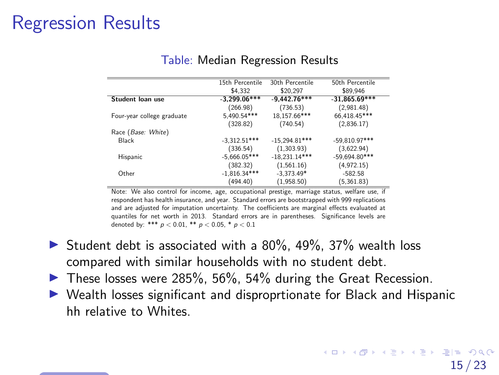<span id="page-25-0"></span>

|                            | 15th Percentile | 30th Percentile | 50th Percentile |
|----------------------------|-----------------|-----------------|-----------------|
|                            | \$4.332         | \$20.297        | \$89.946        |
| Student loan use           | $-3.299.06***$  | $-9,442.76***$  | $-31,865.69***$ |
|                            | (266.98)        | (736.53)        | (2,981.48)      |
| Four-year college graduate | 5,490.54***     | 18,157.66***    | 66,418.45***    |
|                            | (328.82)        | (740.54)        | (2,836.17)      |
| Race (Base: White)         |                 |                 |                 |
| <b>Black</b>               | $-3,312.51***$  | $-15,294.81***$ | $-59,810.97***$ |
|                            | (336.54)        | (1,303.93)      | (3,622.94)      |
| Hispanic                   | $-5,666.05***$  | $-18,231.14***$ | $-59,694.80***$ |
|                            | (382.32)        | (1,561.16)      | (4,972.15)      |
| Other                      | $-1,816.34***$  | $-3,373.49*$    | $-582.58$       |
|                            | (494.40)        | (1,958.50)      | (5, 361.83)     |

#### Table: Median Regression Results

Note: We also control for income, age, occupational prestige, marriage status, welfare use, if respondent has health insurance, and year. Standard errors are bootstrapped with 999 replications and are adjusted for imputation uncertainty. The coefficients are marginal effects evaluated at quantiles for net worth in 2013. Standard errors are in parentheses. Significance levels are denoted by: \*\*\*  $p < 0.01$ , \*\*  $p < 0.05$ , \*  $p < 0.1$ 

- Student debt is associated with a 80%, 49%, 37% wealth loss compared with similar households with no student debt.
- These losses were 285%, 56%, 54% during the Great Recession.
- Wealth losses significant and disproprtionate for Black and Hispanic hh relative to Whites.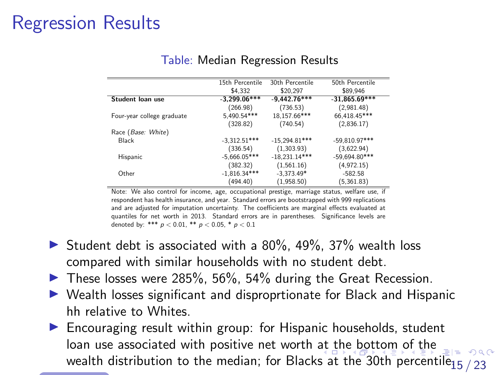<span id="page-26-0"></span>

|                            | 15th Percentile | 30th Percentile | 50th Percentile |
|----------------------------|-----------------|-----------------|-----------------|
|                            | \$4.332         | \$20.297        | \$89.946        |
| Student loan use           | $-3,299.06***$  | $-9.442.76***$  | $-31,865.69***$ |
|                            | (266.98)        | (736.53)        | (2,981.48)      |
| Four-year college graduate | 5,490.54***     | 18.157.66***    | 66,418.45***    |
|                            | (328.82)        | (740.54)        | (2,836.17)      |
| Race (Base: White)         |                 |                 |                 |
| Black                      | $-3,312.51***$  | $-15.294.81***$ | $-59,810.97***$ |
|                            | (336.54)        | (1,303.93)      | (3,622.94)      |
| Hispanic                   | $-5,666.05***$  | $-18,231.14***$ | $-59,694.80***$ |
|                            | (382.32)        | (1,561.16)      | (4,972.15)      |
| Other                      | $-1,816.34***$  | $-3,373.49*$    | $-582.58$       |
|                            | (494.40)        | (1,958.50)      | (5, 361.83)     |

#### Table: Median Regression Results

Note: We also control for income, age, occupational prestige, marriage status, welfare use, if respondent has health insurance, and year. Standard errors are bootstrapped with 999 replications and are adjusted for imputation uncertainty. The coefficients are marginal effects evaluated at quantiles for net worth in 2013. Standard errors are in parentheses. Significance levels are denoted by: \*\*\*  $p < 0.01$ , \*\*  $p < 0.05$ , \*  $p < 0.1$ 

- Student debt is associated with a 80%, 49%, 37% wealth loss compared with similar households with no student debt.
- These losses were 285%, 56%, 54% during the Great Recession.
- Wealth losses significant and disproprtionate for Black and Hispanic hh relative to Whites.
- � Encouraging result within group: for Hispanic households, student •loan use associ[at](#page-25-0)ed with positive net worth at t[he](#page-27-0) [b](#page-23-0)[o](#page-18-0)[tt](#page-27-0)o[m](#page-19-0) of [th](#page-30-0)[e](#page-31-0) wealth distribution to t[he](#page-22-0) median; for Blacks at the 30th [pe](#page-27-0)[r](#page-18-0)[ce](#page-19-0)n[til](#page-0-0)[e](#page-40-0)<sub>15</sub> / 23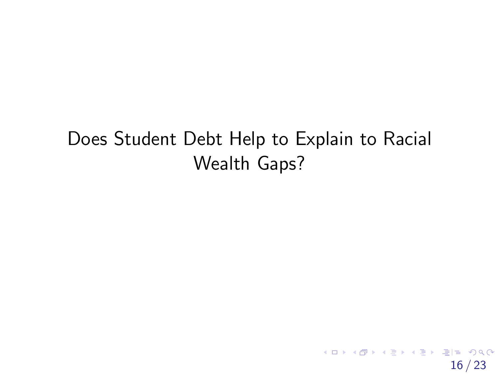# <span id="page-27-0"></span>Does Student Debt Help to Explain to Racial Wealth Gaps?

16 / 23

K ロ ▶ K @ ▶ K 할 ▶ K 할 ▶ [ 할 날 수 있어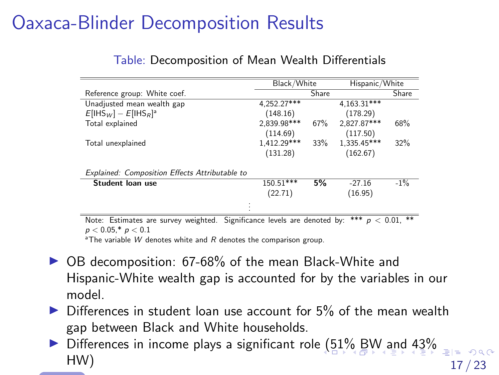# <span id="page-28-1"></span><span id="page-28-0"></span>Oaxaca-Blinder Decomposition Results

|  | Table: Decomposition of Mean Wealth Differentials |  |  |  |
|--|---------------------------------------------------|--|--|--|
|--|---------------------------------------------------|--|--|--|

|                                                                                                    | Hispanic/White<br>Black/White |     |                          |        |  |  |
|----------------------------------------------------------------------------------------------------|-------------------------------|-----|--------------------------|--------|--|--|
| Reference group: White coef.                                                                       | Share<br>Share                |     |                          |        |  |  |
| Unadjusted mean wealth gap                                                                         | $4,252.27***$                 |     | $4,163.\overline{31***}$ |        |  |  |
| $E[$ IHS <sub>W</sub> ] – $E[$ IHS <sub>R</sub> ] <sup>a</sup>                                     | (148.16)                      |     | (178.29)                 |        |  |  |
| Total explained                                                                                    | 2.839.98***                   | 67% | 2.827.87***              | 68%    |  |  |
|                                                                                                    | (114.69)                      |     | (117.50)                 |        |  |  |
| Total unexplained                                                                                  | 1.412.29***                   | 33% | 1.335.45***              | 32%    |  |  |
|                                                                                                    | (131.28)                      |     | (162.67)                 |        |  |  |
| Explained: Composition Effects Attributable to                                                     |                               |     |                          |        |  |  |
| Student loan use                                                                                   | 150.51***                     | 5%  | $-27.16$                 | $-1\%$ |  |  |
|                                                                                                    | (22.71)                       |     | (16.95)                  |        |  |  |
|                                                                                                    |                               |     |                          |        |  |  |
| $p < 0.01$ . **<br>***<br>Note: Estimates are survey weighted. Significance levels are denoted by: |                               |     |                          |        |  |  |

 $p < 0.05, ^{*} \, p < 0.1$ 

<sup>a</sup>The variable W denotes white and R denotes the comparison group.

- ▶ OB decomposition: 67-68% of the mean Black-White and Hispanic-White wealth gap is accounted for by the variables in our model.
- Differences in student loan use account for 5% of the mean wealth gap between Black and White households.
- � Differences in income plays a significant role [\(5](#page-27-0)[1](#page-29-0)[%](#page-27-0) [B](#page-28-0)[W](#page-29-0) [a](#page-27-0)[n](#page-30-0)[d](#page-31-0) [4](#page-18-0)[3](#page-19-0)[%](#page-31-0)  HW)  $17 / 23$ •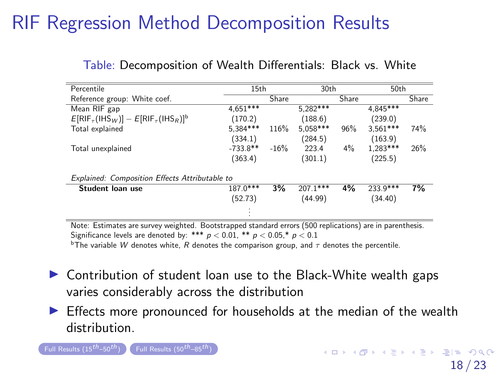| Percentile                                                                                                      | 15th                                                                                                                                                                                                                                                                                                                                              |        | 30th       |       | 50th       |       |  |  |
|-----------------------------------------------------------------------------------------------------------------|---------------------------------------------------------------------------------------------------------------------------------------------------------------------------------------------------------------------------------------------------------------------------------------------------------------------------------------------------|--------|------------|-------|------------|-------|--|--|
| Reference group: White coef.                                                                                    |                                                                                                                                                                                                                                                                                                                                                   | Share  |            | Share |            | Share |  |  |
| Mean RIF gap                                                                                                    | $4.651***$                                                                                                                                                                                                                                                                                                                                        |        | $5.282***$ |       | 4.845***   |       |  |  |
| $E[RIF_{\tau}(IHS_W)] - E[RIF_{\tau}(IHS_R)]^b$                                                                 | (170.2)                                                                                                                                                                                                                                                                                                                                           |        | (188.6)    |       | (239.0)    |       |  |  |
| Total explained                                                                                                 | 5.384***                                                                                                                                                                                                                                                                                                                                          | 116%   | 5,058***   | 96%   | $3.561***$ | 74%   |  |  |
|                                                                                                                 | (334.1)                                                                                                                                                                                                                                                                                                                                           |        | (284.5)    |       | (163.9)    |       |  |  |
| Total unexplained                                                                                               | $-733.8**$                                                                                                                                                                                                                                                                                                                                        | $-16%$ | 223.4      | $4\%$ | $1,283***$ | 26%   |  |  |
|                                                                                                                 | (363.4)                                                                                                                                                                                                                                                                                                                                           |        | (301.1)    |       | (225.5)    |       |  |  |
| Explained: Composition Effects Attributable to                                                                  |                                                                                                                                                                                                                                                                                                                                                   |        |            |       |            |       |  |  |
| Student loan use                                                                                                | $187.0***$                                                                                                                                                                                                                                                                                                                                        | 3%     | $207.1***$ | 4%    | $233.9***$ | 7%    |  |  |
|                                                                                                                 | (52.73)                                                                                                                                                                                                                                                                                                                                           |        | (44.99)    |       | (34.40)    |       |  |  |
|                                                                                                                 |                                                                                                                                                                                                                                                                                                                                                   |        |            |       |            |       |  |  |
| At a secret contract of the secret of the secret of the secret of the secret of the secret of the secret of the | $\mathcal{L}(\mathbf{r},\mathbf{r}) = \mathbf{r} \mathbf{r}$ , and $\mathcal{L}(\mathbf{r},\mathbf{r}) = \mathbf{r} \mathbf{r}$ , and $\mathbf{r} \mathbf{r}$ , and $\mathbf{r} \mathbf{r}$ , and $\mathbf{r} \mathbf{r}$ , and $\mathbf{r} \mathbf{r}$ , and $\mathbf{r} \mathbf{r}$ , and $\mathbf{r} \mathbf{r}$ , and $\mathbf{r} \mathbf{r}$ |        |            |       |            |       |  |  |

#### <span id="page-29-1"></span><span id="page-29-0"></span>Table: Decomposition of Wealth Differentials: Black vs. White

Note: Estimates are survey weighted. Bootstrapped standard errors (500 replications) are in parenthesis. Significance levels are denoted by: \*\*\*  $p < 0.01$ , \*\*  $p < 0.05$  \*  $p < 0.1$ 

<sup>b</sup>The variable W denotes white, R denotes the comparison group, and  $\tau$  denotes the percentile.

- Contribution of student loan use to the Black-White wealth gaps varies considerably across the distribution
- Effects more pronounced for households at the median of the wealth distribution.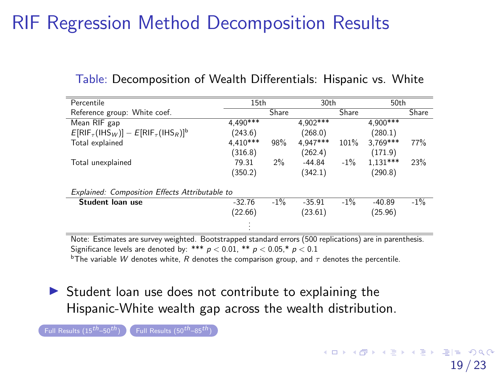| Percentile                                      | 15th       |        | 30th     |        | 50th       |        |
|-------------------------------------------------|------------|--------|----------|--------|------------|--------|
| Reference group: White coef.                    |            | Share  |          | Share  |            | Share  |
| Mean RIF gap                                    | $4,490***$ |        | 4.902*** |        | $4.900***$ |        |
| $E[RIF_{\tau}(IHS_W)] - E[RIF_{\tau}(IHS_R)]^b$ | (243.6)    |        | (268.0)  |        | (280.1)    |        |
| Total explained                                 | $4.410***$ | 98%    | 4.947*** | 101%   | $3.769***$ | 77%    |
|                                                 | (316.8)    |        | (262.4)  |        | (171.9)    |        |
| Total unexplained                               | 79.31      | 2%     | $-44.84$ | $-1\%$ | $1.131***$ | 23%    |
|                                                 | (350.2)    |        | (342.1)  |        | (290.8)    |        |
| Explained: Composition Effects Attributable to  |            |        |          |        |            |        |
| Student loan use                                | $-32.76$   | $-1\%$ | $-35.91$ | $-1\%$ | $-40.89$   | $-1\%$ |
|                                                 | (22.66)    |        | (23.61)  |        | (25.96)    |        |
|                                                 |            |        |          |        |            |        |

#### <span id="page-30-1"></span><span id="page-30-0"></span>Table: Decomposition of Wealth Differentials: Hispanic vs. White

Note: Estimates are survey weighted. Bootstrapped standard errors (500 replications) are in parenthesis. Significance levels are denoted by: \*\*\*  $p < 0.01$ , \*\*  $p < 0.05$ ,\*  $p < 0.1$ Significance levels are denoted by: \*\*\*  $p < 0.01$ , \*\*  $p < 0.05,^\ast$   $p < 0.1$ <br> $^{\rm b}$ The variable  $W$  denotes white,  $R$  denotes the comparison group, and  $\tau$  denotes the percentile.

• Student loan use does not contribute to explaining the Hispanic-White wealth gap across the wealth distribution.

Full [Results](#page-49-0)  $(15^{th}-50^{th})$  Full Results  $(50^{th}-85^{th})$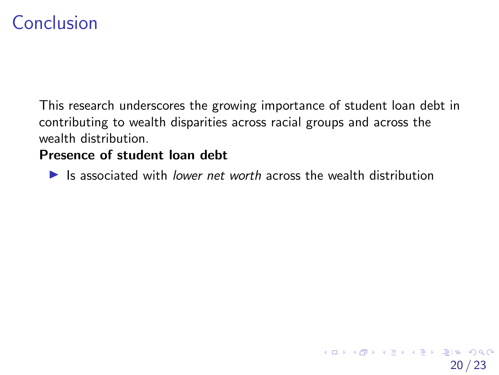# <span id="page-31-0"></span>Conclusion

This research underscores the growing importance of student loan debt in contributing to wealth disparities across racial groups and across the wealth distribution.

### Presence of student loan debt

Is associated with lower net worth across the wealth distribution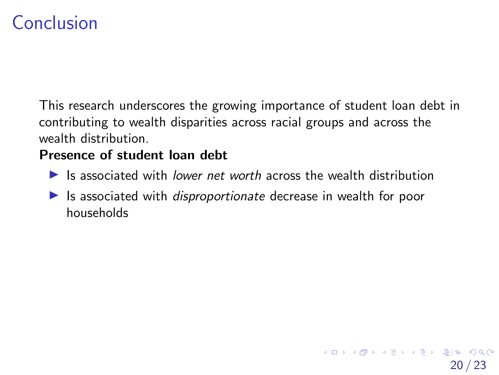# Conclusion

This research underscores the growing importance of student loan debt in contributing to wealth disparities across racial groups and across the wealth distribution.

### Presence of student loan debt

- Is associated with lower net worth across the wealth distribution
- Is associated with *disproportionate* decrease in wealth for poor households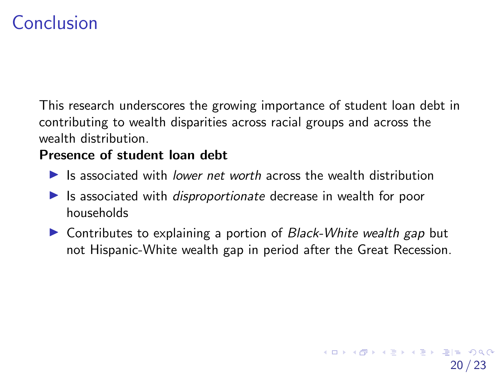# Conclusion

This research underscores the growing importance of student loan debt in contributing to wealth disparities across racial groups and across the wealth distribution.

#### Presence of student loan debt

- Is associated with lower net worth across the wealth distribution
- Is associated with *disproportionate* decrease in wealth for poor households
- Contributes to explaining a portion of Black-White wealth gap but not Hispanic-White wealth gap in period after the Great Recession.

20 / 23

K ロ ▶ K 何 ▶ K ヨ ▶ K ヨ ▶ [로]로 19 Q @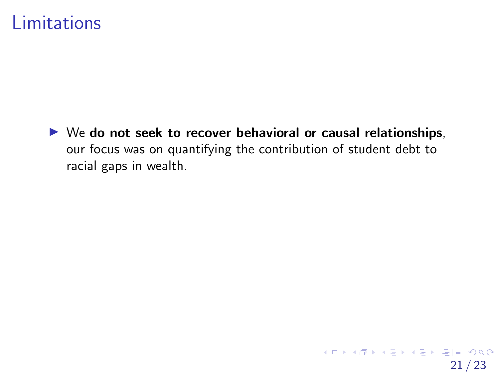### Limitations

▶ We do not seek to recover behavioral or causal relationships, our focus was on quantifying the contribution of student debt to racial gaps in wealth.

21 / 23

K ロ ▶ K @ ▶ K 할 ▶ K 할 ▶ [ 할 날 수 있어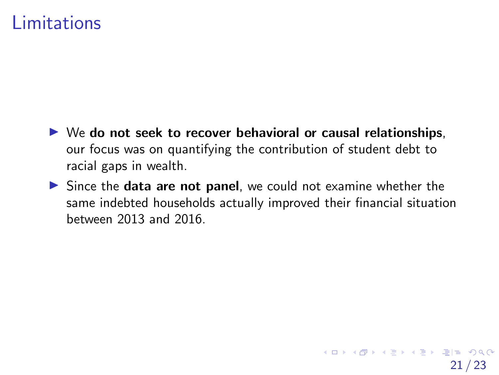### Limitations

- ▶ We do not seek to recover behavioral or causal relationships, our focus was on quantifying the contribution of student debt to racial gaps in wealth.
- Since the data are not panel, we could not examine whether the same indebted households actually improved their financial situation between 2013 and 2016.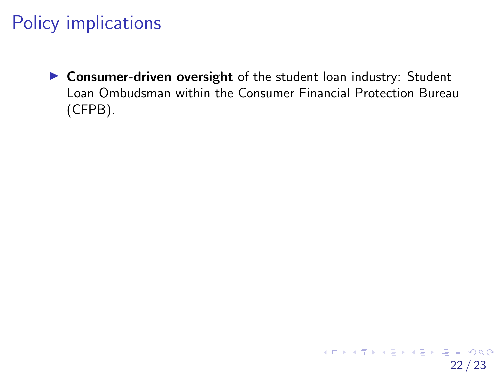• Consumer-driven oversight of the student loan industry: Student Loan Ombudsman within the Consumer Financial Protection Bureau (CFPB).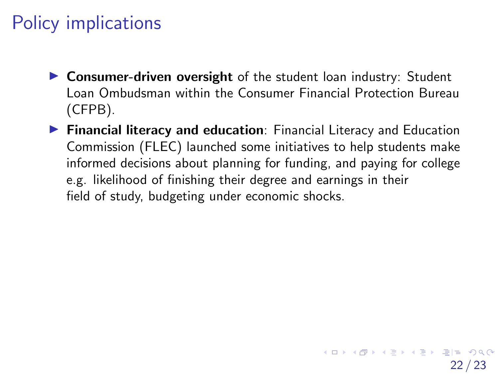- Consumer-driven oversight of the student loan industry: Student Loan Ombudsman within the Consumer Financial Protection Bureau (CFPB).
- **Financial literacy and education**: Financial Literacy and Education Commission (FLEC) launched some initiatives to help students make informed decisions about planning for funding, and paying for college e.g. likelihood of finishing their degree and earnings in their field of study, budgeting under economic shocks.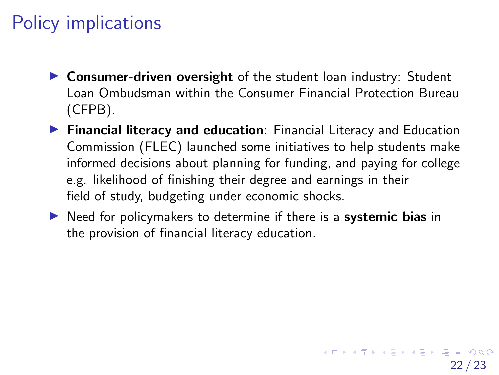- Consumer-driven oversight of the student loan industry: Student Loan Ombudsman within the Consumer Financial Protection Bureau (CFPB).
- **Financial literacy and education**: Financial Literacy and Education Commission (FLEC) launched some initiatives to help students make informed decisions about planning for funding, and paying for college e.g. likelihood of finishing their degree and earnings in their field of study, budgeting under economic shocks.
- Reed for policymakers to determine if there is a systemic bias in the provision of financial literacy education.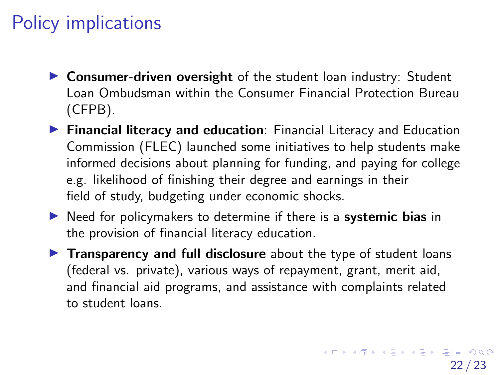- Consumer-driven oversight of the student loan industry: Student Loan Ombudsman within the Consumer Financial Protection Bureau (CFPB).
- **Financial literacy and education**: Financial Literacy and Education Commission (FLEC) launched some initiatives to help students make informed decisions about planning for funding, and paying for college e.g. likelihood of finishing their degree and earnings in their field of study, budgeting under economic shocks.
- Reed for policymakers to determine if there is a systemic bias in the provision of financial literacy education.
- Transparency and full disclosure about the type of student loans (federal vs. private), various ways of repayment, grant, merit aid, and financial aid programs, and assistance with complaints related to student loans.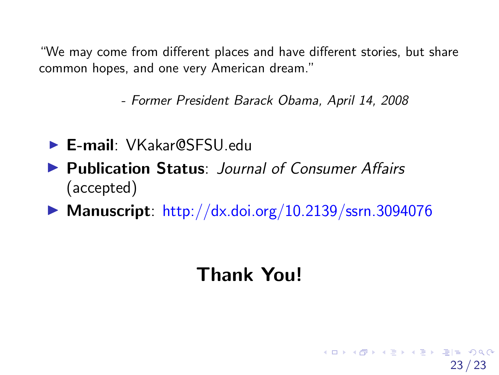<span id="page-40-0"></span>"We may come from different places and have different stories, but share common hopes, and one very American dream."

- Former President Barack Obama, April 14, 2008

- � E-mail: VKakar@SFSU.edu •
- Publication Status: Journal of Consumer Affairs (accepted)
- Manuscript: <http://dx.doi.org/10.2139/ssrn.3094076>

# Thank You!

23 / 23

K ロ ▶ K 何 ▶ K ヨ ▶ K ヨ ▶ [로]로 19 Q @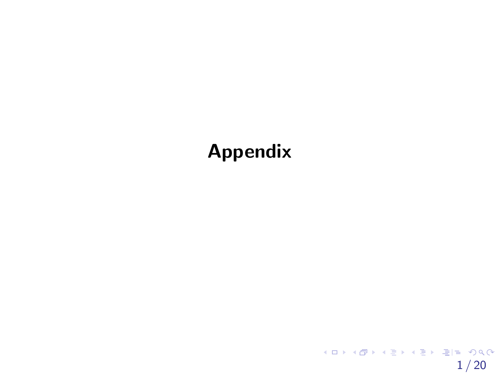# <span id="page-41-0"></span>Appendix

 $1/20$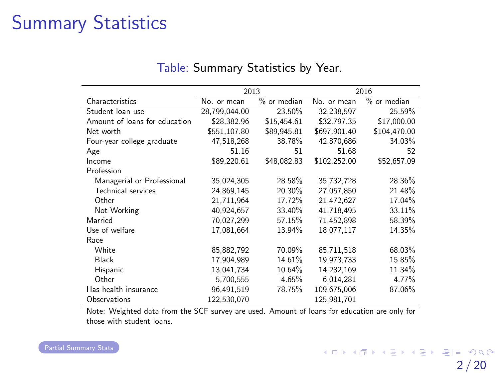# <span id="page-42-0"></span>Summary Statistics

|                               | 2013          |               |              | 2016          |
|-------------------------------|---------------|---------------|--------------|---------------|
| Characteristics               | No. or mean   | $%$ or median | No. or mean  | $%$ or median |
| Student loan use              | 28.799.044.00 | 23.50%        | 32.238.597   | 25.59%        |
| Amount of loans for education | \$28.382.96   | \$15.454.61   | \$32,797.35  | \$17,000.00   |
| Net worth                     | \$551.107.80  | \$89.945.81   | \$697.901.40 | \$104.470.00  |
| Four-year college graduate    | 47.518.268    | 38.78%        | 42.870.686   | 34.03%        |
| Age                           | 51.16         | 51            | 51.68        | 52            |
| Income                        | \$89.220.61   | \$48,082.83   | \$102.252.00 | \$52.657.09   |
| Profession                    |               |               |              |               |
| Managerial or Professional    | 35,024,305    | 28.58%        | 35,732,728   | 28.36%        |
| <b>Technical services</b>     | 24,869,145    | 20.30%        | 27.057.850   | 21.48%        |
| Other                         | 21.711.964    | 17.72%        | 21.472.627   | 17.04%        |
| Not Working                   | 40.924.657    | 33.40%        | 41.718.495   | 33.11%        |
| Married                       | 70.027.299    | 57.15%        | 71.452.898   | 58.39%        |
| Use of welfare                | 17,081,664    | 13.94%        | 18.077.117   | 14.35%        |
| Race                          |               |               |              |               |
| White                         | 85,882,792    | 70.09%        | 85.711.518   | 68.03%        |
| Black                         | 17,904,989    | 14.61%        | 19,973,733   | 15.85%        |
| Hispanic                      | 13,041,734    | 10.64%        | 14,282,169   | 11.34%        |
| Other                         | 5,700,555     | 4.65%         | 6,014,281    | 4.77%         |
| Has health insurance          | 96.491.519    | 78.75%        | 109,675,006  | 87.06%        |
| Observations                  | 122.530.070   |               | 125.981.701  |               |

#### Table: Summary Statistics by Year.

Note: Weighted data from the SCF survey are used. Amount of loans for education are only for those with student loans.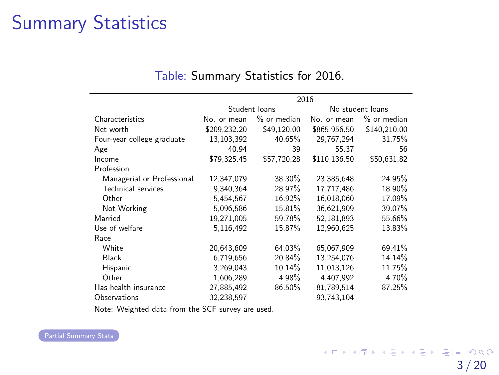# <span id="page-43-0"></span>Summary Statistics

|                            | 2016         |               |                  |               |  |
|----------------------------|--------------|---------------|------------------|---------------|--|
|                            |              | Student loans | No student loans |               |  |
| Characteristics            | No. or mean  | $%$ or median | No. or mean      | $%$ or median |  |
| Net worth                  | \$209.232.20 | \$49.120.00   | \$865.956.50     | \$140.210.00  |  |
| Four-year college graduate | 13,103,392   | 40.65%        | 29.767.294       | 31.75%        |  |
| Age                        | 40.94        | 39            | 55.37            | 56            |  |
| Income                     | \$79,325.45  | \$57.720.28   | \$110,136.50     | \$50,631.82   |  |
| Profession                 |              |               |                  |               |  |
| Managerial or Professional | 12,347,079   | 38.30%        | 23,385,648       | 24.95%        |  |
| Technical services         | 9.340.364    | 28.97%        | 17.717.486       | 18.90%        |  |
| Other                      | 5,454,567    | 16.92%        | 16.018.060       | 17.09%        |  |
| Not Working                | 5,096,586    | 15.81%        | 36.621.909       | 39.07%        |  |
| Married                    | 19,271,005   | 59.78%        | 52,181,893       | 55.66%        |  |
| Use of welfare             | 5.116.492    | 15.87%        | 12.960.625       | 13.83%        |  |
| Race                       |              |               |                  |               |  |
| White                      | 20,643,609   | 64.03%        | 65.067.909       | 69.41%        |  |
| Black                      | 6,719,656    | 20.84%        | 13,254,076       | 14.14%        |  |
| Hispanic                   | 3,269,043    | 10.14%        | 11.013.126       | 11.75%        |  |
| Other                      | 1.606.289    | 4.98%         | 4.407.992        | 4.70%         |  |
| Has health insurance       | 27,885,492   | 86.50%        | 81.789.514       | 87.25%        |  |
| Observations               | 32,238,597   |               | 93.743.104       |               |  |

#### Table: Summary Statistics for 2016.

Note: Weighted data from the SCF survey are used.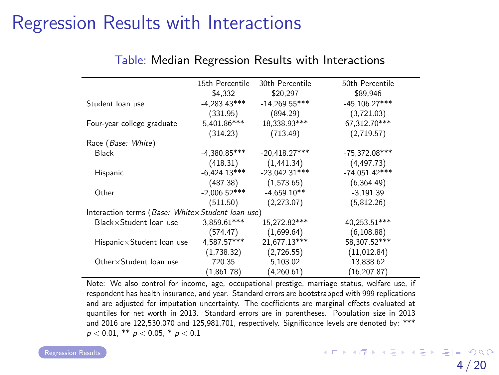# <span id="page-44-0"></span>Regression Results with Interactions

|                                                   | 15th Percentile | 30th Percentile | 50th Percentile |
|---------------------------------------------------|-----------------|-----------------|-----------------|
|                                                   | \$4,332         | \$20,297        | \$89,946        |
| Student loan use                                  | $-4.283.43***$  | $-14.269.55***$ | $-45.106.27***$ |
|                                                   | (331.95)        | (894.29)        | (3,721.03)      |
| Four-year college graduate                        | 5.401.86***     | 18,338.93***    | 67.312.70***    |
|                                                   | (314.23)        | (713.49)        | (2,719.57)      |
| Race (Base: White)                                |                 |                 |                 |
| Black                                             | $-4.380.85***$  | $-20,418.27***$ | $-75,372.08***$ |
|                                                   | (418.31)        | (1,441.34)      | (4, 497.73)     |
| Hispanic                                          | $-6,424.13***$  | $-23,042.31***$ | $-74,051.42***$ |
|                                                   | (487.38)        | (1,573.65)      | (6,364.49)      |
| Other                                             | $-2.006.52***$  | $-4.659.10**$   | $-3.191.39$     |
|                                                   | (511.50)        | (2,273.07)      | (5,812.26)      |
| Interaction terms (Base: Whitex Student loan use) |                 |                 |                 |
| Black×Student loan use                            | 3.859.61***     | 15.272.82***    | 40.253.51***    |
|                                                   | (574.47)        | (1,699.64)      | (6, 108.88)     |
| Hispanic×Student loan use                         | 4.587.57***     | 21,677.13***    | 58.307.52***    |
|                                                   | (1,738.32)      | (2,726.55)      | (11, 012.84)    |
| Other×Student loan use                            | 720.35          | 5,103.02        | 13,838.62       |
|                                                   | (1,861.78)      | (4,260.61)      | (16, 207.87)    |

#### Table: Median Regression Results with Interactions

Note: We also control for income, age, occupational prestige, marriage status, welfare use, if respondent has health insurance, and year. Standard errors are bootstrapped with 999 replications and are adjusted for imputation uncertainty. The coefficients are marginal effects evaluated at quantiles for net worth in 2013. Standard errors are in parentheses. Population size in 2013 and 2016 are 122,530,070 and 125,981,701, respectively. Significance levels are denoted by: \*\*\*  $p < 0.01$ , \*\*  $p < 0.05$ , \*  $p < 0.1$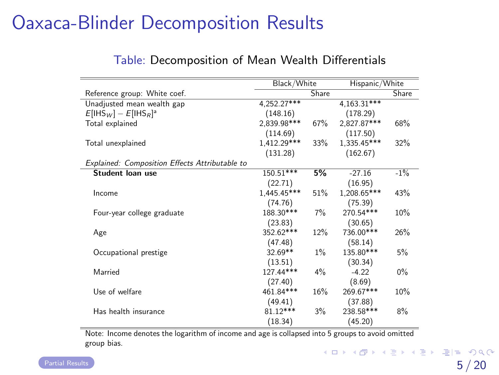# <span id="page-45-0"></span>Oaxaca-Blinder Decomposition Results

|  | Table: Decomposition of Mean Wealth Differentials |  |  |  |
|--|---------------------------------------------------|--|--|--|
|--|---------------------------------------------------|--|--|--|

|                                                | Black/White   |       |               | Hispanic/White |  |
|------------------------------------------------|---------------|-------|---------------|----------------|--|
| Reference group: White coef.                   | Share         |       |               | Share          |  |
| Unadjusted mean wealth gap                     | $4,252.27***$ |       | $4,163.31***$ |                |  |
| $E[1HSW] - E[1HSR]3]$                          | (148.16)      |       | (178.29)      |                |  |
| Total explained                                | 2.839.98***   | 67%   | 2.827.87***   | 68%            |  |
|                                                | (114.69)      |       | (117.50)      |                |  |
| Total unexplained                              | 1,412.29***   | 33%   | 1,335.45***   | 32%            |  |
|                                                | (131.28)      |       | (162.67)      |                |  |
| Explained: Composition Effects Attributable to |               |       |               |                |  |
| Student loan use                               | 150.51***     | 5%    | $-27.16$      | $-1\%$         |  |
|                                                | (22.71)       |       | (16.95)       |                |  |
| Income                                         | 1,445.45***   | 51%   | 1,208.65***   | 43%            |  |
|                                                | (74.76)       |       | (75.39)       |                |  |
| Four-year college graduate                     | 188.30***     | $7\%$ | 270.54***     | 10%            |  |
|                                                | (23.83)       |       | (30.65)       |                |  |
| Age                                            | 352.62***     | 12%   | 736.00***     | 26%            |  |
|                                                | (47.48)       |       | (58.14)       |                |  |
| Occupational prestige                          | 32.69**       | $1\%$ | 135.80***     | 5%             |  |
|                                                | (13.51)       |       | (30.34)       |                |  |
| Married                                        | 127.44***     | $4\%$ | $-4.22$       | $0\%$          |  |
|                                                | (27.40)       |       | (8.69)        |                |  |
| Use of welfare                                 | 461.84***     | 16%   | 269.67***     | 10%            |  |
|                                                | (49.41)       |       | (37.88)       |                |  |
| Has health insurance                           | $81.12***$    | $3\%$ | 238.58***     | 8%             |  |
|                                                | (18.34)       |       | (45.20)       |                |  |

Note: Income denotes the logarithm of income and age is collapsed into 5 groups to avoid omitted group bias.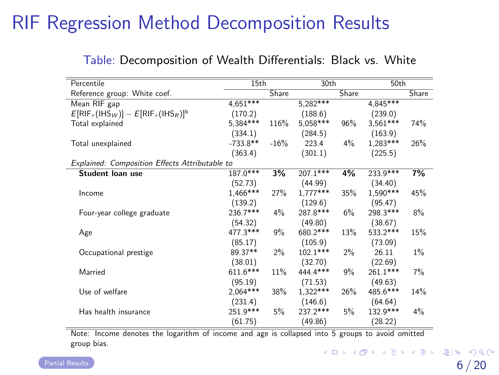| Percentile                                            | 15th       |        | 30th       |       | 50th       |       |
|-------------------------------------------------------|------------|--------|------------|-------|------------|-------|
| Reference group: White coef.                          |            | Share  |            | Share |            | Share |
| Mean RIF gap                                          | $4.651***$ |        | $5,282***$ |       | $4,845***$ |       |
| $E[RIF_{\tau}(IHS_{W})] - E[RIF_{\tau}(IHS_{R})]^{b}$ | (170.2)    |        | (188.6)    |       | (239.0)    |       |
| Total explained                                       | 5,384***   | 116%   | 5,058***   | 96%   | $3.561***$ | 74%   |
|                                                       | (334.1)    |        | (284.5)    |       | (163.9)    |       |
| Total unexplained                                     | $-733.8**$ | $-16%$ | 223.4      | 4%    | $1,283***$ | 26%   |
|                                                       | (363.4)    |        | (301.1)    |       | (225.5)    |       |
| Explained: Composition Effects Attributable to        |            |        |            |       |            |       |
| Student Ioan use                                      | 187.0***   | 3%     | $207.1***$ | 4%    | $233.9***$ | 7%    |
|                                                       | (52.73)    |        | (44.99)    |       | (34.40)    |       |
| Income                                                | 1,466***   | 27%    | $1,777***$ | 35%   | 1,590***   | 45%   |
|                                                       | (139.2)    |        | (129.6)    |       | (95.47)    |       |
| Four-year college graduate                            | 236.7***   | 4%     | 287.8***   | 6%    | 298.3***   | 8%    |
|                                                       | (54.32)    |        | (49.80)    |       | (38.67)    |       |
| Age                                                   | 477.3***   | 9%     | 680.2***   | 13%   | 533.2***   | 15%   |
|                                                       | (85.17)    |        | (105.9)    |       | (73.09)    |       |
| Occupational prestige                                 | 89.37**    | $2\%$  | $102.1***$ | $2\%$ | 26.11      | 1%    |
|                                                       | (38.01)    |        | (32.70)    |       | (22.69)    |       |
| Married                                               | 611.6***   | 11%    | 444.4***   | 9%    | 261.1***   | 7%    |
|                                                       | (95.19)    |        | (71.53)    |       | (49.63)    |       |
| Use of welfare                                        | $2,064***$ | 38%    | $1,322***$ | 26%   | 485.6***   | 14%   |
|                                                       | (231.4)    |        | (146.6)    |       | (64.64)    |       |
| Has health insurance                                  | 251.9***   | 5%     | 237.2***   | 5%    | 132.9***   | 4%    |
|                                                       | (61.75)    |        | (49.86)    |       | (28.22)    |       |

#### <span id="page-46-0"></span>Table: Decomposition of Wealth Differentials: Black vs. White

Note: Income denotes the logarithm of income and age is collapsed into 5 groups to avoid omitted group bias.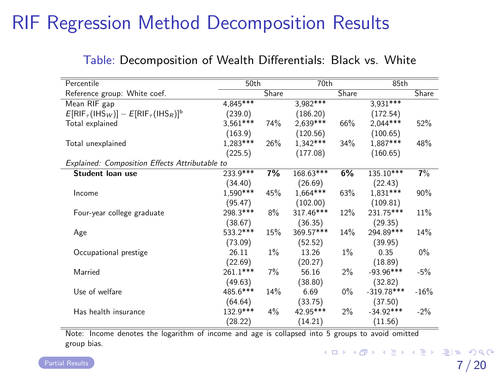<span id="page-47-0"></span>

| Percentile                                      | 50th       |       | 70th        |       | 85th         |        |
|-------------------------------------------------|------------|-------|-------------|-------|--------------|--------|
| Reference group: White coef.                    |            | Share |             | Share |              | Share  |
| Mean RIF gap                                    | 4.845***   |       | 3,982***    |       | $3,931***$   |        |
| $E[RIF_{\tau}(IHS_W)] - E[RIF_{\tau}(IHS_R)]^b$ | (239.0)    |       | (186.20)    |       | (172.54)     |        |
| Total explained                                 | $3.561***$ | 74%   | $2,639***$  | 66%   | $2,044***$   | 52%    |
|                                                 | (163.9)    |       | (120.56)    |       | (100.65)     |        |
| Total unexplained                               | $1.283***$ | 26%   | $1.342***$  | 34%   | 1.887***     | 48%    |
|                                                 | (225.5)    |       | (177.08)    |       | (160.65)     |        |
| Explained: Composition Effects Attributable to  |            |       |             |       |              |        |
| Student loan use                                | 233.9***   | 7%    | 168.63***   | 6%    | 135.10***    | 7%     |
|                                                 | (34.40)    |       | (26.69)     |       | (22.43)      |        |
| Income                                          | $1.590***$ | 45%   | $1.664***$  | 63%   | 1,831***     | 90%    |
|                                                 | (95.47)    |       | (102.00)    |       | (109.81)     |        |
| Four-year college graduate                      | 298.3***   | 8%    | $317.46***$ | 12%   | 231.75***    | 11%    |
|                                                 | (38.67)    |       | (36.35)     |       | (29.35)      |        |
| Age                                             | 533.2***   | 15%   | 369.57***   | 14%   | 294.89***    | 14%    |
|                                                 | (73.09)    |       | (52.52)     |       | (39.95)      |        |
| Occupational prestige                           | 26.11      | 1%    | 13.26       | $1\%$ | 0.35         | $0\%$  |
|                                                 | (22.69)    |       | (20.27)     |       | (18.89)      |        |
| Married                                         | 261.1***   | $7\%$ | 56.16       | 2%    | $-93.96***$  | $-5%$  |
|                                                 | (49.63)    |       | (38.80)     |       | (32.82)      |        |
| Use of welfare                                  | 485.6***   | 14%   | 6.69        | $0\%$ | $-319.78***$ | $-16%$ |
|                                                 | (64.64)    |       | (33.75)     |       | (37.50)      |        |
| Has health insurance                            | 132.9***   | 4%    | 42.95***    | $2\%$ | $-34.92***$  | $-2%$  |
|                                                 | (28.22)    |       | (14.21)     |       | (11.56)      |        |

#### Table: Decomposition of Wealth Differentials: Black vs. White

Note: Income denotes the logarithm of income and age is collapsed into 5 groups to avoid omitted group bias.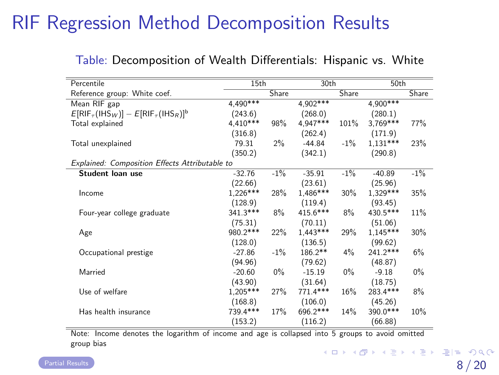| Percentile                                            | 15th       |        | 30th       |        | 50th       |        |
|-------------------------------------------------------|------------|--------|------------|--------|------------|--------|
| Reference group: White coef.                          |            | Share  |            | Share  |            | Share  |
| Mean RIF gap                                          | $4,490***$ |        | $4,902***$ |        | 4,900***   |        |
| $E[RIF_{\tau}(IHS_{W})] - E[RIF_{\tau}(IHS_{R})]^{b}$ | (243.6)    |        | (268.0)    |        | (280.1)    |        |
| Total explained                                       | $4,410***$ | 98%    | 4.947***   | 101%   | 3,769***   | 77%    |
|                                                       | (316.8)    |        | (262.4)    |        | (171.9)    |        |
| Total unexplained                                     | 79.31      | $2\%$  | $-44.84$   | $-1\%$ | $1,131***$ | 23%    |
|                                                       | (350.2)    |        | (342.1)    |        | (290.8)    |        |
| Explained: Composition Effects Attributable to        |            |        |            |        |            |        |
| Student Ioan use                                      | $-32.76$   | $-1\%$ | $-35.91$   | $-1\%$ | $-40.89$   | $-1\%$ |
|                                                       | (22.66)    |        | (23.61)    |        | (25.96)    |        |
| Income                                                | $1,226***$ | 28%    | 1,486***   | 30%    | 1,329 ***  | 35%    |
|                                                       | (128.9)    |        | (119.4)    |        | (93.45)    |        |
| Four-year college graduate                            | 341.3***   | 8%     | $415.6***$ | 8%     | 430.5***   | 11%    |
|                                                       | (75.31)    |        | (70.11)    |        | (51.06)    |        |
| Age                                                   | 980.2***   | 22%    | $1,443***$ | 29%    | $1,145***$ | 30%    |
|                                                       | (128.0)    |        | (136.5)    |        | (99.62)    |        |
| Occupational prestige                                 | $-27.86$   | $-1\%$ | 186.2**    | $4\%$  | 241.2***   | 6%     |
|                                                       | (94.96)    |        | (79.62)    |        | (48.87)    |        |
| Married                                               | $-20.60$   | $0\%$  | $-15.19$   | $0\%$  | $-9.18$    | $0\%$  |
|                                                       | (43.90)    |        | (31.64)    |        | (18.75)    |        |
| Use of welfare                                        | $1,205***$ | 27%    | 771.4***   | 16%    | 283.4***   | 8%     |
|                                                       | (168.8)    |        | (106.0)    |        | (45.26)    |        |
| Has health insurance                                  | 739.4***   | 17%    | 696.2***   | 14%    | 390.0***   | 10%    |
|                                                       | (153.2)    |        | (116.2)    |        | (66.88)    |        |

<span id="page-48-0"></span>Table: Decomposition of Wealth Differentials: Hispanic vs. White

Note: Income denotes the logarithm of income and age is collapsed into 5 groups to avoid omitted group bias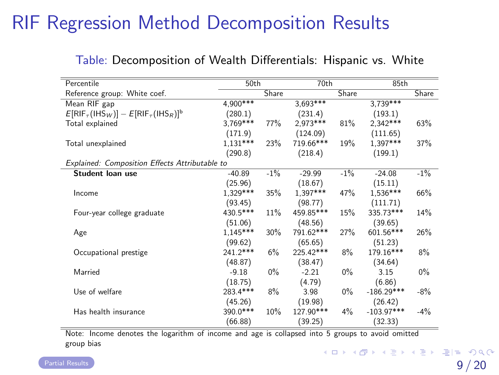| Percentile                                      | 50th       |       | 70th       |        | 85th         |        |
|-------------------------------------------------|------------|-------|------------|--------|--------------|--------|
| Reference group: White coef.                    |            | Share |            | Share  |              | Share  |
| Mean RIF gap                                    | $4,900***$ |       | $3,693***$ |        | $3,739***$   |        |
| $E[RIF_{\tau}(IHS_W)] - E[RIF_{\tau}(IHS_R)]^b$ | (280.1)    |       | (231.4)    |        | (193.1)      |        |
| Total explained                                 | $3.769***$ | 77%   | 2,973 ***  | 81%    | $2.342***$   | 63%    |
|                                                 | (171.9)    |       | (124.09)   |        | (111.65)     |        |
| Total unexplained                               | $1.131***$ | 23%   | 719.66***  | 19%    | $1.397***$   | 37%    |
|                                                 | (290.8)    |       | (218.4)    |        | (199.1)      |        |
| Explained: Composition Effects Attributable to  |            |       |            |        |              |        |
| Student loan use                                | $-40.89$   | $-1%$ | $-29.99$   | $-1\%$ | $-24.08$     | $-1%$  |
|                                                 | (25.96)    |       | (18.67)    |        | (15.11)      |        |
| Income                                          | $1,329***$ | 35%   | $1,397***$ | 47%    | $1,536***$   | 66%    |
|                                                 | (93.45)    |       | (98.77)    |        | (111.71)     |        |
| Four-year college graduate                      | 430.5***   | 11%   | 459.85***  | 15%    | 335.73***    | 14%    |
|                                                 | (51.06)    |       | (48.56)    |        | (39.65)      |        |
| Age                                             | $1,145***$ | 30%   | 791.62***  | 27%    | 601.56***    | 26%    |
|                                                 | (99.62)    |       | (65.65)    |        | (51.23)      |        |
| Occupational prestige                           | 241.2***   | 6%    | 225.42***  | 8%     | 179.16***    | 8%     |
|                                                 | (48.87)    |       | (38.47)    |        | (34.64)      |        |
| Married                                         | $-9.18$    | $0\%$ | $-2.21$    | $0\%$  | 3.15         | $0\%$  |
|                                                 | (18.75)    |       | (4.79)     |        | (6.86)       |        |
| Use of welfare                                  | 283.4***   | 8%    | 3.98       | $0\%$  | $-186.29***$ | $-8%$  |
|                                                 | (45.26)    |       | (19.98)    |        | (26.42)      |        |
| Has health insurance                            | 390.0***   | 10%   | 127.90***  | $4\%$  | $-103.97***$ | $-4\%$ |
|                                                 | (66.88)    |       | (39.25)    |        | (32.33)      |        |

#### <span id="page-49-0"></span>Table: Decomposition of Wealth Differentials: Hispanic vs. White

Note: Income denotes the logarithm of income and age is collapsed into 5 groups to avoid omitted group bias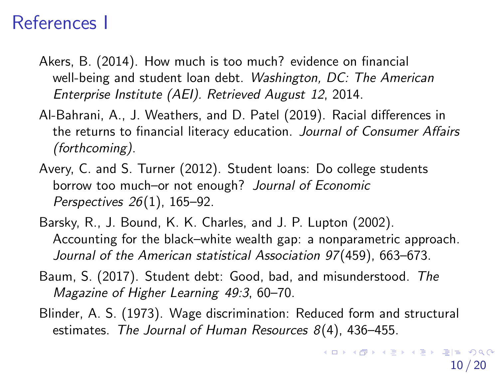### References I

- Akers, B. (2014). How much is too much? evidence on financial well-being and student loan debt. Washington, DC: The American Enterprise Institute (AEI). Retrieved August 12, 2014.
- Al-Bahrani, A., J. Weathers, and D. Patel (2019). Racial differences in the returns to financial literacy education. Journal of Consumer Affairs (forthcoming).
- Avery, C. and S. Turner (2012). Student loans: Do college students borrow too much–or not enough? Journal of Economic Perspectives 26(1), 165–92.
- Barsky, R., J. Bound, K. K. Charles, and J. P. Lupton (2002). Accounting for the black–white wealth gap: a nonparametric approach. Journal of the American statistical Association 97(459), 663–673.
- Baum, S. (2017). Student debt: Good, bad, and misunderstood. The Magazine of Higher Learning 49:3, 60–70.
- Blinder, A. S. (1973). Wage discrimination: Reduced form and structural estimates. The Journal of Human Resources 8(4), 436–455.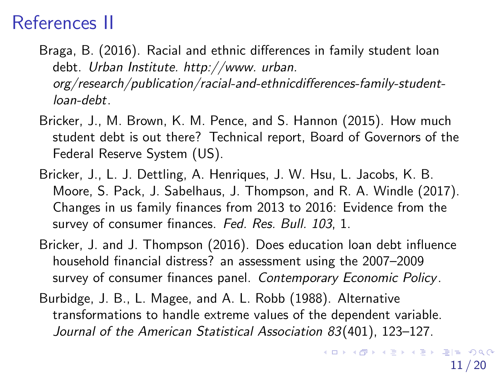# References II

- Braga, B. (2016). Racial and ethnic differences in family student loan debt. Urban Institute. http://www. urban. [org/research/publication/racial-and-ethnicdifferences-family-student](http://www.urban.org/research/publication/racial-and-ethnicdifferences-family-student-loan-debt)loan-debt.
- Bricker, J., M. Brown, K. M. Pence, and S. Hannon (2015). How much student debt is out there? Technical report, Board of Governors of the Federal Reserve System (US).
- Bricker, J., L. J. Dettling, A. Henriques, J. W. Hsu, L. Jacobs, K. B. Moore, S. Pack, J. Sabelhaus, J. Thompson, and R. A. Windle (2017). Changes in us family finances from 2013 to 2016: Evidence from the survey of consumer finances. Fed. Res. Bull. 103, 1.
- Bricker, J. and J. Thompson (2016). Does education loan debt influence household financial distress? an assessment using the 2007–2009 survey of consumer finances panel. Contemporary Economic Policy.
- Burbidge, J. B., L. Magee, and A. L. Robb (1988). Alternative transformations to handle extreme values of the dependent variable. Journal of the American Statistical Association 83(401), 123–127.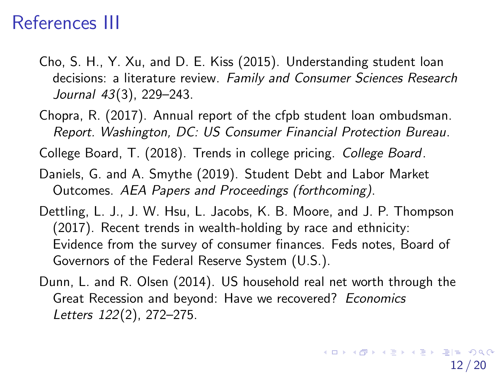### References III

- Cho, S. H., Y. Xu, and D. E. Kiss (2015). Understanding student loan decisions: a literature review. Family and Consumer Sciences Research Journal 43(3), 229–243.
- Chopra, R. (2017). Annual report of the cfpb student loan ombudsman. Report. Washington, DC: US Consumer Financial Protection Bureau.
- College Board, T. (2018). Trends in college pricing. College Board.
- Daniels, G. and A. Smythe (2019). Student Debt and Labor Market Outcomes. AEA Papers and Proceedings (forthcoming).
- Dettling, L. J., J. W. Hsu, L. Jacobs, K. B. Moore, and J. P. Thompson (2017). Recent trends in wealth-holding by race and ethnicity: Evidence from the survey of consumer finances. Feds notes, Board of Governors of the Federal Reserve System (U.S.).
- Dunn, L. and R. Olsen (2014). US household real net worth through the Great Recession and beyond: Have we recovered? Economics Letters 122(2), 272–275.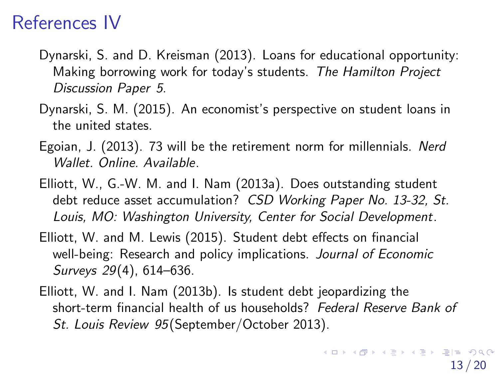### References IV

- Dynarski, S. and D. Kreisman (2013). Loans for educational opportunity: Making borrowing work for today's students. The Hamilton Project Discussion Paper 5.
- Dynarski, S. M. (2015). An economist's perspective on student loans in the united states.
- Egoian, J. (2013). 73 will be the retirement norm for millennials. Nerd Wallet. Online. Available.
- Elliott, W., G.-W. M. and I. Nam (2013a). Does outstanding student debt reduce asset accumulation? CSD Working Paper No. 13-32, St. Louis, MO: Washington University, Center for Social Development.
- Elliott, W. and M. Lewis (2015). Student debt effects on financial well-being: Research and policy implications. Journal of Economic Surveys 29(4), 614–636.
- <span id="page-53-0"></span>Elliott, W. and I. Nam (2013b). Is student debt jeopardizing the short-term financial health of us households? Federal Reserve Bank of St. Louis Review 95(September/October 2013).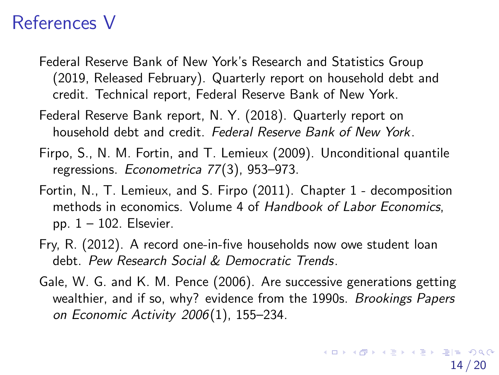### References V

- <span id="page-54-1"></span>Federal Reserve Bank of New York's Research and Statistics Group (2019, Released February). Quarterly report on household debt and credit. Technical report, Federal Reserve Bank of New York.
- Federal Reserve Bank report, N. Y. (2018). Quarterly report on household debt and credit. Federal Reserve Bank of New York.
- Firpo, S., N. M. Fortin, and T. Lemieux (2009). Unconditional quantile regressions. Econometrica 77(3), 953–973.
- Fortin, N., T. Lemieux, and S. Firpo (2011). Chapter 1 decomposition methods in economics. Volume 4 of Handbook of Labor Economics, pp.  $1 - 102$ . Elsevier.
- <span id="page-54-0"></span>Fry, R. (2012). A record one-in-five households now owe student loan debt. Pew Research Social & Democratic Trends.
- Gale, W. G. and K. M. Pence (2006). Are successive generations getting wealthier, and if so, why? evidence from the 1990s. Brookings Papers on Economic Activity 2006(1), 155–234.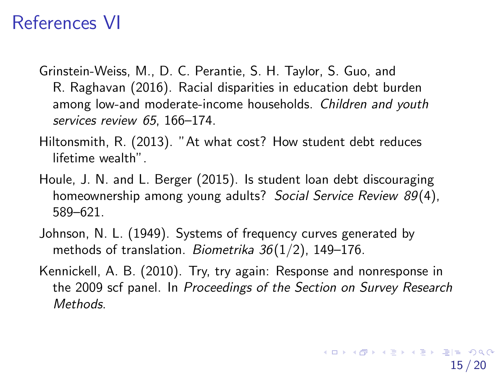### References VI

- Grinstein-Weiss, M., D. C. Perantie, S. H. Taylor, S. Guo, and R. Raghavan (2016). Racial disparities in education debt burden among low-and moderate-income households. Children and youth services review 65, 166-174.
- Hiltonsmith, R. (2013). "At what cost? How student debt reduces lifetime wealth".
- Houle, J. N. and L. Berger (2015). Is student loan debt discouraging homeownership among young adults? Social Service Review 89(4), 589–621.
- Johnson, N. L. (1949). Systems of frequency curves generated by methods of translation. Biometrika  $36(1/2)$ , 149-176.
- Kennickell, A. B. (2010). Try, try again: Response and nonresponse in the 2009 scf panel. In Proceedings of the Section on Survey Research Methods.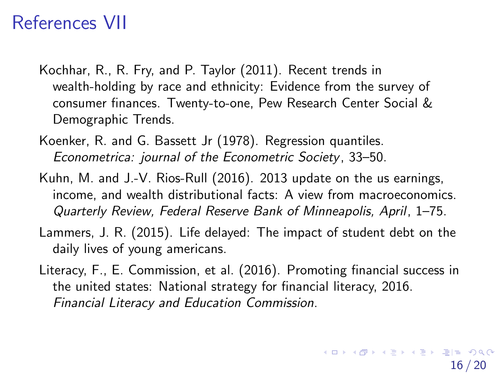### References VII

- Kochhar, R., R. Fry, and P. Taylor (2011). Recent trends in wealth-holding by race and ethnicity: Evidence from the survey of consumer finances. Twenty-to-one, Pew Research Center Social & Demographic Trends.
- Koenker, R. and G. Bassett Jr (1978). Regression quantiles. Econometrica: journal of the Econometric Society, 33–50.
- Kuhn, M. and J.-V. Rios-Rull (2016). 2013 update on the us earnings, income, and wealth distributional facts: A view from macroeconomics. Quarterly Review, Federal Reserve Bank of Minneapolis, April, 1–75.
- Lammers, J. R. (2015). Life delayed: The impact of student debt on the daily lives of young americans.
- Literacy, F., E. Commission, et al. (2016). Promoting financial success in the united states: National strategy for financial literacy, 2016. Financial Literacy and Education Commission.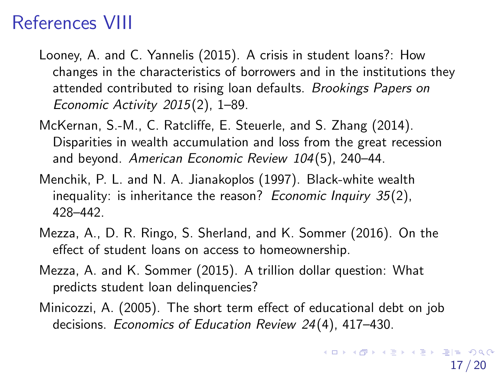## References VIII

- Looney, A. and C. Yannelis (2015). A crisis in student loans?: How changes in the characteristics of borrowers and in the institutions they attended contributed to rising loan defaults. Brookings Papers on Economic Activity 2015(2), 1–89.
- McKernan, S.-M., C. Ratcliffe, E. Steuerle, and S. Zhang (2014). Disparities in wealth accumulation and loss from the great recession and beyond. American Economic Review 104(5), 240–44.
- Menchik, P. L. and N. A. Jianakoplos (1997). Black-white wealth inequality: is inheritance the reason? Economic Inquiry  $35(2)$ , 428–442.
- Mezza, A., D. R. Ringo, S. Sherland, and K. Sommer (2016). On the effect of student loans on access to homeownership.
- Mezza, A. and K. Sommer (2015). A trillion dollar question: What predicts student loan delinquencies?
- Minicozzi, A. (2005). The short term effect of educational debt on job decisions. Economics of Education Review 24(4), 417–430.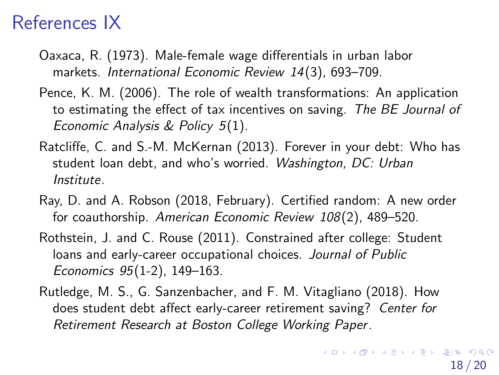### References IX

- Oaxaca, R. (1973). Male-female wage differentials in urban labor markets. International Economic Review 14(3), 693–709.
- Pence, K. M. (2006). The role of wealth transformations: An application to estimating the effect of tax incentives on saving. The BE Journal of Economic Analysis & Policy 5(1).
- Ratcliffe, C. and S.-M. McKernan (2013). Forever in your debt: Who has student loan debt, and who's worried. Washington, DC: Urban Institute.
- Ray, D. and A. Robson (2018, February). Certified random: A new order for coauthorship. American Economic Review 108(2), 489–520.
- Rothstein, J. and C. Rouse (2011). Constrained after college: Student loans and early-career occupational choices. Journal of Public Economics 95(1-2), 149–163.
- Rutledge, M. S., G. Sanzenbacher, and F. M. Vitagliano (2018). How does student debt affect early-career retirement saving? Center for Retirement Research at Boston College Working Paper.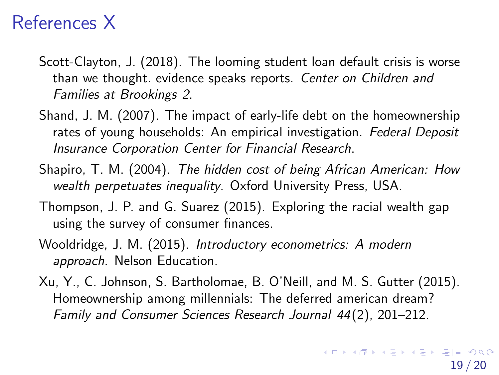## References X

- Scott-Clayton, J. (2018). The looming student loan default crisis is worse than we thought. evidence speaks reports. Center on Children and Families at Brookings 2.
- Shand, J. M. (2007). The impact of early-life debt on the homeownership rates of young households: An empirical investigation. Federal Deposit Insurance Corporation Center for Financial Research.
- Shapiro, T. M. (2004). The hidden cost of being African American: How wealth perpetuates inequality. Oxford University Press, USA.
- Thompson, J. P. and G. Suarez (2015). Exploring the racial wealth gap using the survey of consumer finances.
- Wooldridge, J. M. (2015). Introductory econometrics: A modern approach. Nelson Education.
- Xu, Y., C. Johnson, S. Bartholomae, B. O'Neill, and M. S. Gutter (2015). Homeownership among millennials: The deferred american dream? Family and Consumer Sciences Research Journal 44(2), 201–212.